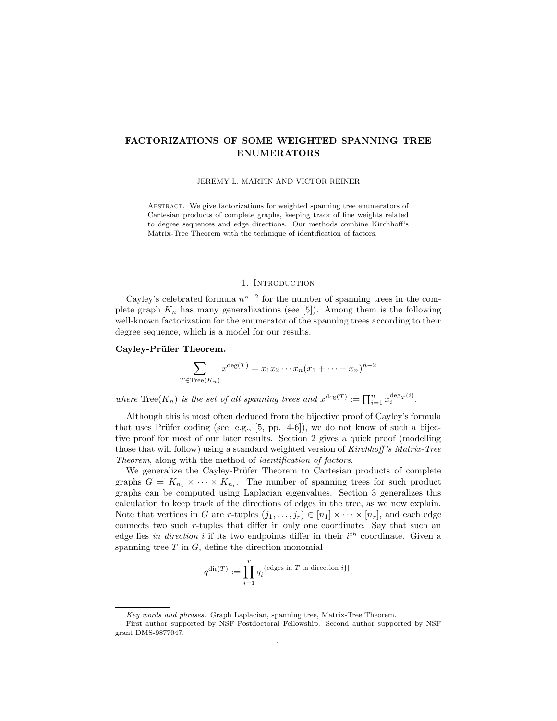# FACTORIZATIONS OF SOME WEIGHTED SPANNING TREE ENUMERATORS

JEREMY L. MARTIN AND VICTOR REINER

ABSTRACT. We give factorizations for weighted spanning tree enumerators of Cartesian products of complete graphs, keeping track of fine weights related to degree sequences and edge directions. Our methods combine Kirchhoff's Matrix-Tree Theorem with the technique of identification of factors.

#### 1. INTRODUCTION

Cayley's celebrated formula  $n^{n-2}$  for the number of spanning trees in the complete graph  $K_n$  has many generalizations (see [5]). Among them is the following well-known factorization for the enumerator of the spanning trees according to their degree sequence, which is a model for our results.

### Cayley-Prüfer Theorem.

$$
\sum_{T \in \text{Tree}(K_n)} x^{\deg(T)} = x_1 x_2 \cdots x_n (x_1 + \cdots + x_n)^{n-2}
$$

where  $\text{Tree}(K_n)$  is the set of all spanning trees and  $x^{\deg(T)} := \prod_{i=1}^n x_i^{\deg_T(i)}$ .

Although this is most often deduced from the bijective proof of Cayley's formula that uses Prüfer coding (see, e.g.,  $[5, pp. 4-6]$ ), we do not know of such a bijective proof for most of our later results. Section 2 gives a quick proof (modelling those that will follow) using a standard weighted version of Kirchhoff's Matrix-Tree Theorem, along with the method of identification of factors.

We generalize the Cayley-Prüfer Theorem to Cartesian products of complete graphs  $G = K_{n_1} \times \cdots \times K_{n_r}$ . The number of spanning trees for such product graphs can be computed using Laplacian eigenvalues. Section 3 generalizes this calculation to keep track of the directions of edges in the tree, as we now explain. Note that vertices in G are r-tuples  $(j_1, \ldots, j_r) \in [n_1] \times \cdots \times [n_r]$ , and each edge connects two such r-tuples that differ in only one coordinate. Say that such an edge lies in direction i if its two endpoints differ in their  $i<sup>th</sup>$  coordinate. Given a spanning tree  $T$  in  $G$ , define the direction monomial

$$
q^{\mathrm{dir}(T)} := \prod_{i=1}^r q_i^{|\{\text{edges in } T \text{ in direction } i\}|}.
$$

Key words and phrases. Graph Laplacian, spanning tree, Matrix-Tree Theorem.

First author supported by NSF Postdoctoral Fellowship. Second author supported by NSF grant DMS-9877047.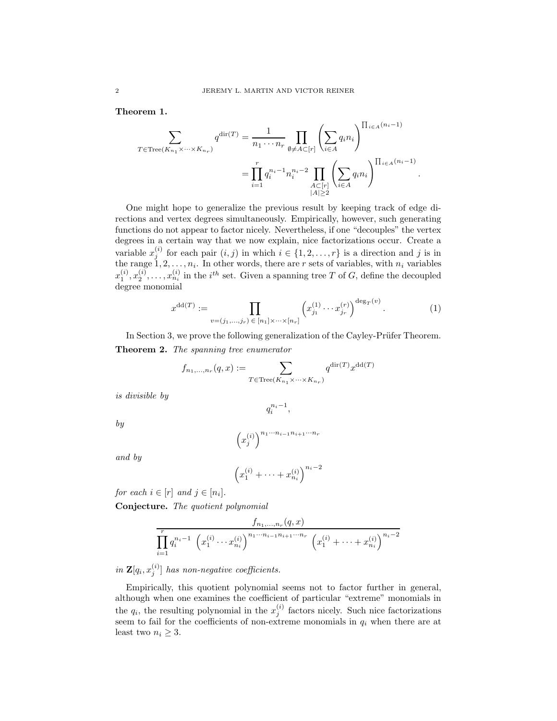Theorem 1.

$$
\sum_{T \in \text{Tree}(K_{n_1} \times \dots \times K_{n_r})} q^{\text{dir}(T)} = \frac{1}{n_1 \cdots n_r} \prod_{\emptyset \neq A \subset [r]} \left( \sum_{i \in A} q_i n_i \right)^{\prod_{i \in A} (n_i - 1)}
$$

$$
= \prod_{i=1}^r q_i^{n_i - 1} n_i^{n_i - 2} \prod_{\substack{A \subset [r] \\ |A| \ge 2}} \left( \sum_{i \in A} q_i n_i \right)^{\prod_{i \in A} (n_i - 1)}
$$

One might hope to generalize the previous result by keeping track of edge directions and vertex degrees simultaneously. Empirically, however, such generating functions do not appear to factor nicely. Nevertheless, if one "decouples" the vertex degrees in a certain way that we now explain, nice factorizations occur. Create a variable  $x_j^{(i)}$  for each pair  $(i, j)$  in which  $i \in \{1, 2, ..., r\}$  is a direction and j is in the range  $1, 2, \ldots, n_i$ . In other words, there are r sets of variables, with  $n_i$  variables  $x_1^{(i)}, x_2^{(i)}, \ldots, x_{n_i}^{(i)}$  in the  $i^{th}$  set. Given a spanning tree T of G, define the decoupled degree monomial

$$
x^{\mathrm{dd}(T)} := \prod_{v=(j_1,\ldots,j_r) \in [n_1] \times \cdots \times [n_r]} \left( x_{j_1}^{(1)} \cdots x_{j_r}^{(r)} \right)^{\deg_T(v)}.
$$
 (1)

.

In Section 3, we prove the following generalization of the Cayley-Prüfer Theorem. Theorem 2. The spanning tree enumerator

$$
f_{n_1,\ldots,n_r}(q,x):=\sum_{T\in \operatorname{Tree}(K_{n_1}\times\cdots\times K_{n_r})}q^{\operatorname{dir}(T)}x^{\operatorname{dd}(T)}
$$

is divisible by

by

$$
\left(x_j^{(i)}\right)^{n_1 \cdots n_{i-1} n_{i+1} \cdots n_r}
$$

 $q_i^{n_i-1},$ 

and by

$$
(x_1^{(i)} + \dots + x_{n_i}^{(i)})^{n_i - 2}
$$

for each  $i \in [r]$  and  $j \in [n_i]$ .

Conjecture. The quotient polynomial

$$
\frac{f_{n_1,...,n_r}(q,x)}{\prod_{i=1}^r q_i^{n_i-1} \left(x_1^{(i)} \cdots x_{n_i}^{(i)}\right)^{n_1 \cdots n_{i-1} n_{i+1} \cdots n_r} \left(x_1^{(i)} + \cdots + x_{n_i}^{(i)}\right)^{n_i-2}}
$$

in  $\mathbf{Z}[q_i, x_j^{(i)}]$  has non-negative coefficients.

Empirically, this quotient polynomial seems not to factor further in general, although when one examines the coefficient of particular "extreme" monomials in the  $q_i$ , the resulting polynomial in the  $x_j^{(i)}$  factors nicely. Such nice factorizations seem to fail for the coefficients of non-extreme monomials in  $q_i$  when there are at least two  $n_i \geq 3$ .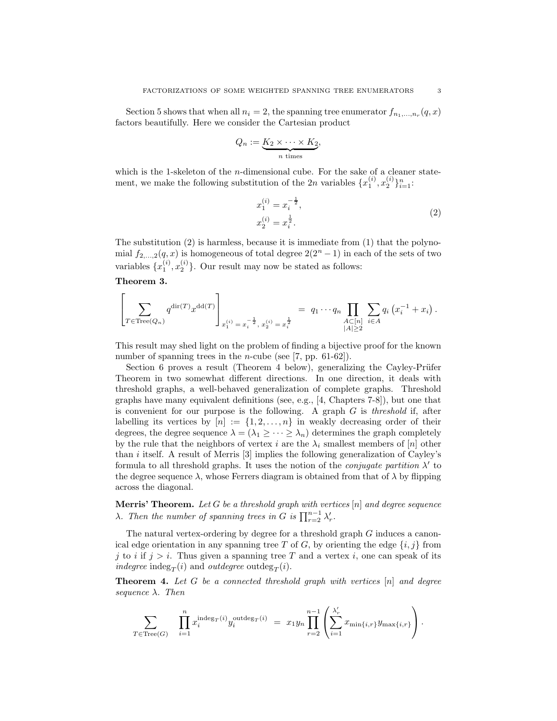Section 5 shows that when all  $n_i = 2$ , the spanning tree enumerator  $f_{n_1,...,n_r}(q, x)$ factors beautifully. Here we consider the Cartesian product

$$
Q_n := \underbrace{K_2 \times \cdots \times K_2}_{n \text{ times}},
$$

which is the 1-skeleton of the  $n$ -dimensional cube. For the sake of a cleaner statement, we make the following substitution of the 2n variables  $\{x_1^{(i)}, x_2^{(i)}\}_{i=1}^n$ :

$$
x_1^{(i)} = x_i^{-\frac{1}{2}},
$$
  
\n
$$
x_2^{(i)} = x_i^{\frac{1}{2}}.
$$
\n(2)

The substitution (2) is harmless, because it is immediate from (1) that the polynomial  $f_{2,\ldots,2}(q,x)$  is homogeneous of total degree  $2(2^n-1)$  in each of the sets of two variables  $\{x_1^{(i)}, x_2^{(i)}\}$ . Our result may now be stated as follows:

## Theorem 3.

$$
\left[\sum_{T \in \text{Tree}(Q_n)} q^{\text{dir}(T)} x^{\text{dd}(T)} \right]_{x_1^{(i)} = x_i^{-\frac{1}{2}}, x_2^{(i)} = x_i^{\frac{1}{2}}} = q_1 \cdots q_n \prod_{\substack{A \subset [n] \\ |A| \ge 2}} \sum_{i \in A} q_i (x_i^{-1} + x_i).
$$

This result may shed light on the problem of finding a bijective proof for the known number of spanning trees in the *n*-cube (see [7, pp. 61-62]).

Section 6 proves a result (Theorem 4 below), generalizing the Cayley-Prüfer Theorem in two somewhat different directions. In one direction, it deals with threshold graphs, a well-behaved generalization of complete graphs. Threshold graphs have many equivalent definitions (see, e.g., [4, Chapters 7-8]), but one that is convenient for our purpose is the following. A graph  $G$  is *threshold* if, after labelling its vertices by  $[n] := \{1, 2, ..., n\}$  in weakly decreasing order of their degrees, the degree sequence  $\lambda = (\lambda_1 \geq \cdots \geq \lambda_n)$  determines the graph completely by the rule that the neighbors of vertex i are the  $\lambda_i$  smallest members of [n] other than  $i$  itself. A result of Merris [3] implies the following generalization of Cayley's formula to all threshold graphs. It uses the notion of the *conjugate partition*  $\lambda'$  to the degree sequence  $\lambda$ , whose Ferrers diagram is obtained from that of  $\lambda$  by flipping across the diagonal.

**Merris' Theorem.** Let G be a threshold graph with vertices  $[n]$  and degree sequence  $\lambda$ . Then the number of spanning trees in G is  $\prod_{r=2}^{n-1} \lambda'_r$ .

The natural vertex-ordering by degree for a threshold graph G induces a canonical edge orientation in any spanning tree T of G, by orienting the edge  $\{i, j\}$  from j to i if  $j > i$ . Thus given a spanning tree T and a vertex i, one can speak of its *indegree* indeg<sub>T</sub> $(i)$  and *outdegree* outdeg<sub>T</sub> $(i)$ .

**Theorem 4.** Let  $G$  be a connected threshold graph with vertices  $[n]$  and degree sequence  $\lambda$ . Then

$$
\sum_{T \in \text{Tree}(G)} \quad \prod_{i=1}^n x_i^{\text{indeg}_T(i)} y_i^{\text{outdeg}_T(i)} = x_1 y_n \prod_{r=2}^{n-1} \left( \sum_{i=1}^{\lambda'_r} x_{\min\{i,r\}} y_{\max\{i,r\}} \right).
$$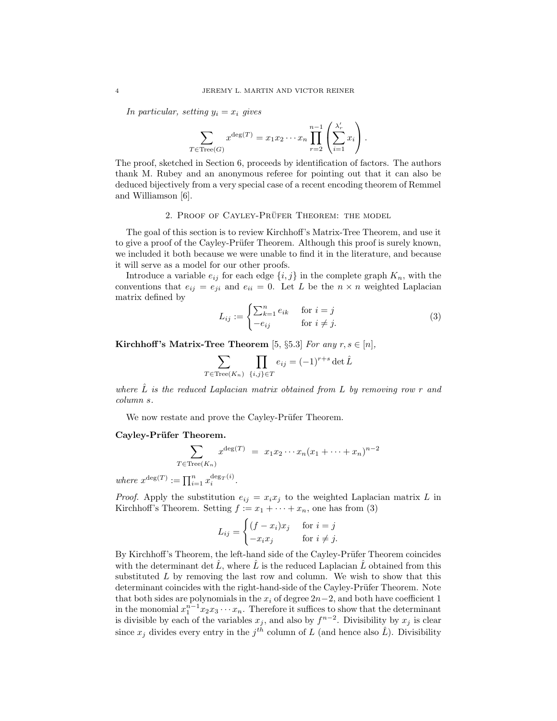In particular, setting  $y_i = x_i$  gives

$$
\sum_{T \in \text{Tree}(G)} x^{\deg(T)} = x_1 x_2 \cdots x_n \prod_{r=2}^{n-1} \left( \sum_{i=1}^{\lambda'_r} x_i \right).
$$

The proof, sketched in Section 6, proceeds by identification of factors. The authors thank M. Rubey and an anonymous referee for pointing out that it can also be deduced bijectively from a very special case of a recent encoding theorem of Remmel and Williamson [6].

### 2. PROOF OF CAYLEY-PRÜFER THEOREM: THE MODEL

The goal of this section is to review Kirchhoff's Matrix-Tree Theorem, and use it to give a proof of the Cayley-Prüfer Theorem. Although this proof is surely known, we included it both because we were unable to find it in the literature, and because it will serve as a model for our other proofs.

Introduce a variable  $e_{ij}$  for each edge  $\{i, j\}$  in the complete graph  $K_n$ , with the conventions that  $e_{ij} = e_{ji}$  and  $e_{ii} = 0$ . Let L be the  $n \times n$  weighted Laplacian matrix defined by

$$
L_{ij} := \begin{cases} \sum_{k=1}^{n} e_{ik} & \text{for } i = j \\ -e_{ij} & \text{for } i \neq j. \end{cases}
$$
 (3)

Kirchhoff's Matrix-Tree Theorem [5, §5.3] For any  $r, s \in [n]$ ,

$$
\sum_{T \in \text{Tree}(K_n)} \prod_{\{i,j\} \in T} e_{ij} = (-1)^{r+s} \det \hat{L}
$$

where  $\hat{L}$  is the reduced Laplacian matrix obtained from L by removing row r and column s.

We now restate and prove the Cayley-Prüfer Theorem.

#### Cayley-Prüfer Theorem.

$$
\sum_{T \in \text{Tree}(K_n)} x^{\deg(T)} = x_1 x_2 \cdots x_n (x_1 + \cdots + x_n)^{n-2}
$$

where  $x^{\deg(T)} := \prod_{i=1}^n x_i^{\deg_T(i)}$ .

*Proof.* Apply the substitution  $e_{ij} = x_i x_j$  to the weighted Laplacian matrix L in Kirchhoff's Theorem. Setting  $f := x_1 + \cdots + x_n$ , one has from (3)

$$
L_{ij} = \begin{cases} (f - x_i)x_j & \text{for } i = j \\ -x_i x_j & \text{for } i \neq j. \end{cases}
$$

By Kirchhoff's Theorem, the left-hand side of the Cayley-Prüfer Theorem coincides with the determinant det  $\hat{L}$ , where  $\hat{L}$  is the reduced Laplacian  $\hat{L}$  obtained from this substituted L by removing the last row and column. We wish to show that this determinant coincides with the right-hand-side of the Cayley-Prüfer Theorem. Note that both sides are polynomials in the  $x_i$  of degree  $2n-2$ , and both have coefficient 1 in the monomial  $x_1^{n-1}x_2x_3\cdots x_n$ . Therefore it suffices to show that the determinant is divisible by each of the variables  $x_j$ , and also by  $f^{n-2}$ . Divisibility by  $x_j$  is clear since  $x_j$  divides every entry in the  $j^{th}$  column of L (and hence also  $\hat{L}$ ). Divisibility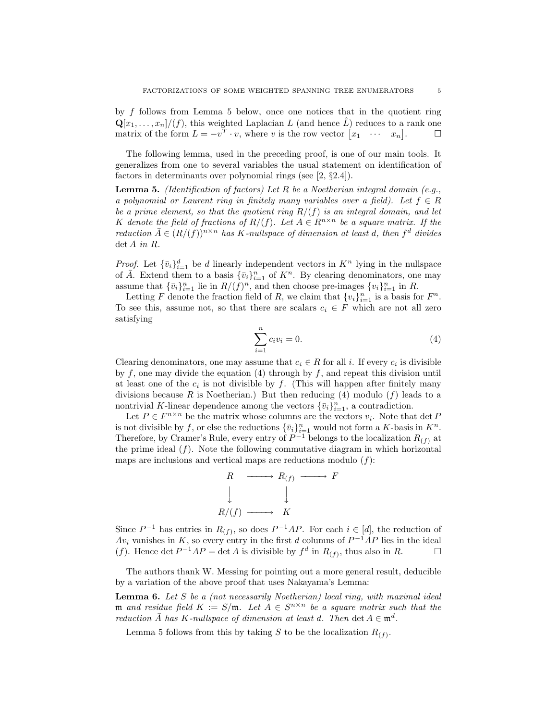by f follows from Lemma 5 below, once one notices that in the quotient ring  $\mathbf{Q}[x_1,\ldots,x_n]/(f)$ , this weighted Laplacian L (and hence  $\hat{L}$ ) reduces to a rank one matrix of the form  $L = -v^T \cdot v$ , where v is the row vector  $\begin{bmatrix} x_1 & \cdots & x_n \end{bmatrix}$  $\Box$ 

The following lemma, used in the preceding proof, is one of our main tools. It generalizes from one to several variables the usual statement on identification of factors in determinants over polynomial rings (see [2, §2.4]).

**Lemma 5.** (Identification of factors) Let R be a Noetherian integral domain (e.g., a polynomial or Laurent ring in finitely many variables over a field). Let  $f \in R$ be a prime element, so that the quotient ring  $R/(f)$  is an integral domain, and let K denote the field of fractions of  $R/(f)$ . Let  $A \in R^{n \times n}$  be a square matrix. If the reduction  $\bar{A} \in (R/(f))^{n \times n}$  has K-nullspace of dimension at least d, then  $f^d$  divides det A in R.

*Proof.* Let  ${\lbrace \bar{v}_i \rbrace}_{i=1}^d$  be d linearly independent vectors in  $K^n$  lying in the nullspace of  $\overline{A}$ . Extend them to a basis  $\{\overline{v}_i\}_{i=1}^n$  of  $K^n$ . By clearing denominators, one may assume that  $\{\bar{v}_i\}_{i=1}^n$  lie in  $R/(f)^n$ , and then choose pre-images  $\{v_i\}_{i=1}^n$  in R.

Letting F denote the fraction field of R, we claim that  $\{v_i\}_{i=1}^n$  is a basis for  $F^n$ . To see this, assume not, so that there are scalars  $c_i \in F$  which are not all zero satisfying

$$
\sum_{i=1}^{n} c_i v_i = 0.
$$
 (4)

Clearing denominators, one may assume that  $c_i \in R$  for all i. If every  $c_i$  is divisible by  $f$ , one may divide the equation (4) through by  $f$ , and repeat this division until at least one of the  $c_i$  is not divisible by f. (This will happen after finitely many divisions because R is Noetherian.) But then reducing (4) modulo  $(f)$  leads to a nontrivial K-linear dependence among the vectors  ${\lbrace \bar{v}_i \rbrace}_{i=1}^n$ , a contradiction.

Let  $P \in F^{n \times n}$  be the matrix whose columns are the vectors  $v_i$ . Note that  $\det P$ is not divisible by f, or else the reductions  $\{\bar{v}_i\}_{i=1}^n$  would not form a K-basis in  $K^n$ . Therefore, by Cramer's Rule, every entry of  $P^{-1}$  belongs to the localization  $R_{(f)}$  at the prime ideal  $(f)$ . Note the following commutative diagram in which horizontal maps are inclusions and vertical maps are reductions modulo  $(f)$ :

$$
\begin{array}{ccc}\nR & \xrightarrow{\text{max }} R_{(f)} & \xrightarrow{\text{max }} F \\
\downarrow & & \downarrow \\
R/(f) & \xrightarrow{\text{max }} K\n\end{array}
$$

Since  $P^{-1}$  has entries in  $R_{(f)}$ , so does  $P^{-1}AP$ . For each  $i \in [d]$ , the reduction of  $Av_i$  vanishes in K, so every entry in the first d columns of  $P^{-1}AP$  lies in the ideal (f). Hence det  $P^{-1}AP = \det A$  is divisible by  $f^d$  in  $R_{(f)}$ , thus also in  $R$ .

The authors thank W. Messing for pointing out a more general result, deducible by a variation of the above proof that uses Nakayama's Lemma:

**Lemma 6.** Let  $S$  be a (not necessarily Noetherian) local ring, with maximal ideal m and residue field  $K := S/m$ . Let  $A \in S^{n \times n}$  be a square matrix such that the reduction  $\overline{A}$  has K-nullspace of dimension at least d. Then det  $A \in \mathfrak{m}^d$ .

Lemma 5 follows from this by taking S to be the localization  $R_{(f)}$ .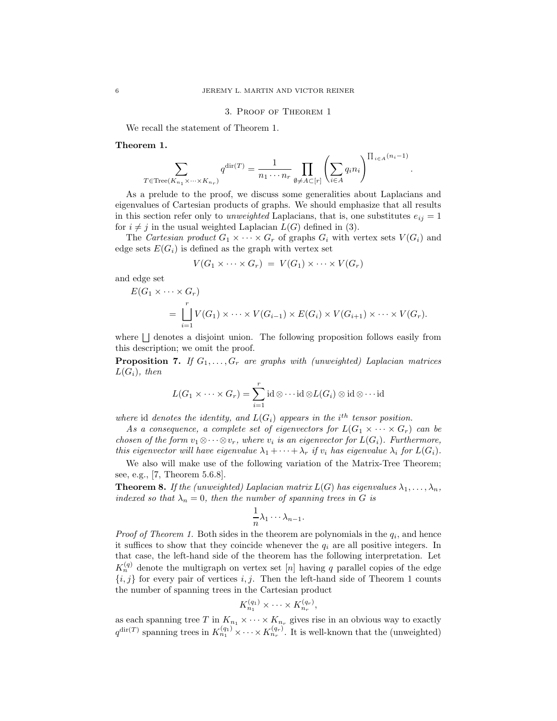## 3. Proof of Theorem 1

We recall the statement of Theorem 1.

## Theorem 1.

$$
\sum_{T \in \operatorname{Tree}(K_{n_1} \times \cdots \times K_{n_r})} q^{\operatorname{dir}(T)} = \frac{1}{n_1 \cdots n_r} \prod_{\emptyset \neq A \subset [r]} \left( \sum_{i \in A} q_i n_i \right)^{\prod_{i \in A} (n_i - 1)}.
$$

As a prelude to the proof, we discuss some generalities about Laplacians and eigenvalues of Cartesian products of graphs. We should emphasize that all results in this section refer only to unweighted Laplacians, that is, one substitutes  $e_{ij} = 1$ for  $i \neq j$  in the usual weighted Laplacian  $L(G)$  defined in (3).

The Cartesian product  $G_1 \times \cdots \times G_r$  of graphs  $G_i$  with vertex sets  $V(G_i)$  and edge sets  $E(G_i)$  is defined as the graph with vertex set

$$
V(G_1 \times \cdots \times G_r) = V(G_1) \times \cdots \times V(G_r)
$$

and edge set

$$
E(G_1 \times \cdots \times G_r)
$$
  
= 
$$
\bigcup_{i=1}^r V(G_1) \times \cdots \times V(G_{i-1}) \times E(G_i) \times V(G_{i+1}) \times \cdots \times V(G_r).
$$

where  $\Box$  denotes a disjoint union. The following proposition follows easily from this description; we omit the proof.

**Proposition 7.** If  $G_1, \ldots, G_r$  are graphs with (unweighted) Laplacian matrices  $L(G_i)$ , then

$$
L(G_1 \times \cdots \times G_r) = \sum_{i=1}^r \mathrm{id} \otimes \cdots \mathrm{id} \otimes L(G_i) \otimes \mathrm{id} \otimes \cdots \mathrm{id}
$$

where id denotes the identity, and  $L(G_i)$  appears in the i<sup>th</sup> tensor position.

As a consequence, a complete set of eigenvectors for  $L(G_1 \times \cdots \times G_r)$  can be chosen of the form  $v_1 \otimes \cdots \otimes v_r$ , where  $v_i$  is an eigenvector for  $L(G_i)$ . Furthermore, this eigenvector will have eigenvalue  $\lambda_1 + \cdots + \lambda_r$  if  $v_i$  has eigenvalue  $\lambda_i$  for  $L(G_i)$ .

We also will make use of the following variation of the Matrix-Tree Theorem; see, e.g., [7, Theorem 5.6.8].

**Theorem 8.** If the (unweighted) Laplacian matrix  $L(G)$  has eigenvalues  $\lambda_1, \ldots, \lambda_n$ , indexed so that  $\lambda_n = 0$ , then the number of spanning trees in G is

$$
\frac{1}{n}\lambda_1\cdots\lambda_{n-1}.
$$

*Proof of Theorem 1.* Both sides in the theorem are polynomials in the  $q_i$ , and hence it suffices to show that they coincide whenever the  $q_i$  are all positive integers. In that case, the left-hand side of the theorem has the following interpretation. Let  $K_n^{(q)}$  denote the multigraph on vertex set [n] having q parallel copies of the edge  ${i, j}$  for every pair of vertices i, j. Then the left-hand side of Theorem 1 counts the number of spanning trees in the Cartesian product

$$
K_{n_1}^{(q_1)} \times \cdots \times K_{n_r}^{(q_r)},
$$

as each spanning tree T in  $K_{n_1} \times \cdots \times K_{n_r}$  gives rise in an obvious way to exactly  $q^{\text{dir}(T)}$  spanning trees in  $K_{n_1}^{(q_1)} \times \cdots \times K_{n_r}^{(q_r)}$ . It is well-known that the (unweighted)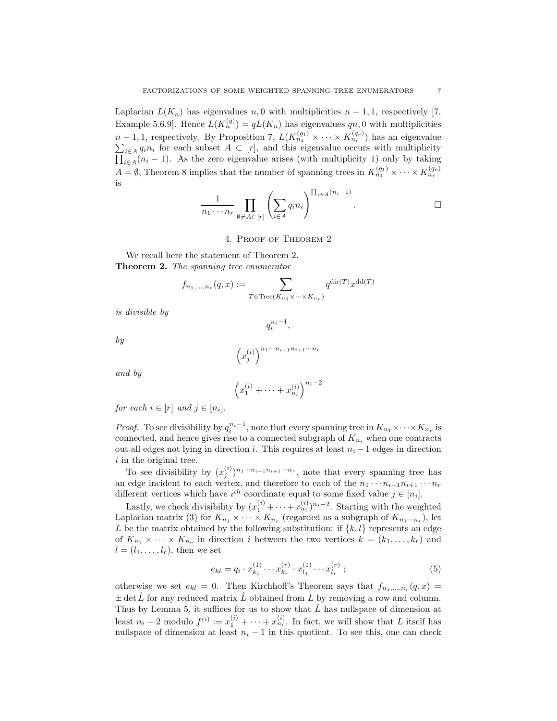Laplacian  $L(K_n)$  has eigenvalues n, 0 with multiplicities  $n-1,1$ , respectively [7, Example 5.6.9]. Hence  $L(K_n^{(q)}) = qL(K_n)$  has eigenvalues  $qn, 0$  with multiplicities  $n-1,1$ , respectively. By Proposition 7,  $L(K_{n_1}^{(q_1)} \times \cdots \times K_{n_r}^{(q_r)})$  has an eigenvalue  $\sum_{i\in A} q_i n_i$  for each subset  $A \subset [r]$ , and this eigenvalue occurs with multiplicity  $\prod_{i\in A}(n_i-1)$ . As the zero eigenvalue arises (with multiplicity 1) only by taking  $A = \emptyset$ , Theorem 8 implies that the number of spanning trees in  $K_{n_1}^{(q_1)} \times \cdots \times K_{n_r}^{(q_r)}$ is

$$
\frac{1}{n_1 \cdots n_r} \prod_{\emptyset \neq A \subset [r]} \left( \sum_{i \in A} q_i n_i \right)^{\prod_{i \in A} (n_i - 1)}.
$$

#### 4. Proof of Theorem 2

We recall here the statement of Theorem 2. Theorem 2. The spanning tree enumerator

$$
f_{n_1,\ldots,n_r}(q,x):=\sum_{T\in \operatorname{Tree}(K_{n_1}\times\cdots\times K_{n_r})}q^{\operatorname{dir}(T)}x^{\operatorname{dd}(T)}
$$

is divisible by

by

$$
\left(x_j^{(i)}\right)^{n_1 \cdots n_{i-1} n_{i+1} \cdots n_r}
$$

 $q_i^{n_i-1},$ 

and by

$$
\left(x_1^{(i)} + \dots + x_{n_i}^{(i)}\right)^{n_i - 2}
$$

for each  $i \in [r]$  and  $j \in [n_i]$ .

*Proof.* To see divisibility by  $q_i^{n_i-1}$ , note that every spanning tree in  $K_{n_1} \times \cdots \times K_{n_r}$  is connected, and hence gives rise to a connected subgraph of  $K_{n_i}$  when one contracts out all edges not lying in direction *i*. This requires at least  $n<sub>i</sub> - 1$  edges in direction i in the original tree.

To see divisibility by  $(x_j^{(i)})^{n_1 \cdots n_{i-1} n_{i+1} \cdots n_r}$ , note that every spanning tree has an edge incident to each vertex, and therefore to each of the  $n_1 \cdots n_{i-1} n_{i+1} \cdots n_r$ different vertices which have  $i^{th}$  coordinate equal to some fixed value  $j \in [n_i]$ .

Lastly, we check divisibility by  $(x_1^{(i)} + \cdots + x_{n_i}^{(i)})^{n_i-2}$ . Starting with the weighted Laplacian matrix (3) for  $K_{n_1} \times \cdots \times K_{n_r}$  (regarded as a subgraph of  $K_{n_1 \cdots n_r}$ ), let L be the matrix obtained by the following substitution: if  $\{k, l\}$  represents an edge of  $K_{n_1} \times \cdots \times K_{n_r}$  in direction i between the two vertices  $k = (k_1, \ldots, k_r)$  and  $l = (l_1, \ldots, l_r)$ , then we set

$$
e_{kl} = q_i \cdot x_{k_1}^{(1)} \cdots x_{k_r}^{(r)} \cdot x_{l_1}^{(1)} \cdots x_{l_r}^{(r)} \tag{5}
$$

otherwise we set  $e_{kl} = 0$ . Then Kirchhoff's Theorem says that  $f_{n_1,...,n_r}(q,x) =$  $\pm$  det  $\hat{L}$  for any reduced matrix  $\hat{L}$  obtained from L by removing a row and column. Thus by Lemma 5, it suffices for us to show that  $\hat{L}$  has nullspace of dimension at least  $n_i - 2$  modulo  $f^{(i)} := x_1^{(i)} + \cdots + x_{n_i}^{(i)}$ . In fact, we will show that L itself has nullspace of dimension at least  $n<sub>i</sub> - 1$  in this quotient. To see this, one can check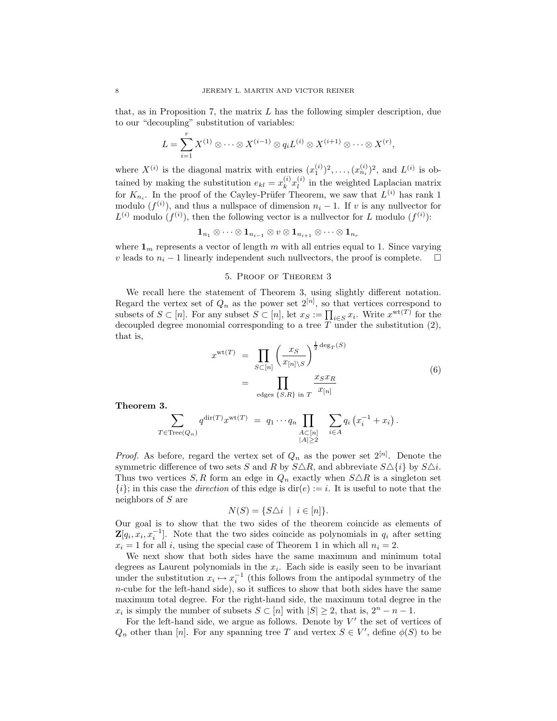that, as in Proposition 7, the matrix  $L$  has the following simpler description, due to our "decoupling" substitution of variables:

$$
L = \sum_{i=1}^r X^{(1)} \otimes \cdots \otimes X^{(i-1)} \otimes q_i L^{(i)} \otimes X^{(i+1)} \otimes \cdots \otimes X^{(r)},
$$

where  $X^{(i)}$  is the diagonal matrix with entries  $(x_1^{(i)})^2, \ldots, (x_{n_i}^{(i)})^2$ , and  $L^{(i)}$  is obtained by making the substitution  $e_{kl} = x_k^{(i)} x_l^{(i)}$  in the weighted Laplacian matrix for  $K_{n_i}$ . In the proof of the Cayley-Prüfer Theorem, we saw that  $L^{(i)}$  has rank 1 modulo  $(f^{(i)})$ , and thus a nullspace of dimension  $n_i - 1$ . If v is any nullvector for  $L^{(i)}$  modulo  $(f^{(i)})$ , then the following vector is a nullvector for L modulo  $(f^{(i)})$ :

 $\mathbf{1}_{n_1} \otimes \cdots \otimes \mathbf{1}_{n_{i-1}} \otimes v \otimes \mathbf{1}_{n_{i+1}} \otimes \cdots \otimes \mathbf{1}_{n_r}$ 

where  $\mathbf{1}_m$  represents a vector of length m with all entries equal to 1. Since varying *v* leads to  $n_i - 1$  linearly independent such nullvectors, the proof is complete.  $□$ 

### 5. Proof of Theorem 3

We recall here the statement of Theorem 3, using slightly different notation. Regard the vertex set of  $Q_n$  as the power set  $2^{[n]}$ , so that vertices correspond to subsets of  $S \subset [n]$ . For any subset  $S \subset [n]$ , let  $x_S := \prod_{i \in S} x_i$ . Write  $x^{\text{wt}(T)}$  for the decoupled degree monomial corresponding to a tree  $T$  under the substitution  $(2)$ , that is,

$$
x^{\text{wt}(T)} = \prod_{S \subset [n]} \left(\frac{x_S}{x_{[n] \setminus S}}\right)^{\frac{1}{2} \deg_T(S)} \\
= \prod_{\text{edges } \{S,R\} \text{ in } T} \frac{x_S x_R}{x_{[n]}}\n\tag{6}
$$

Theorem 3.

$$
\sum_{T \in \text{Tree}(Q_n)} q^{\text{dir}(T)} x^{\text{wt}(T)} = q_1 \cdots q_n \prod_{\substack{A \subset [n] \\ |A| \ge 2}} \sum_{i \in A} q_i \left( x_i^{-1} + x_i \right).
$$

*Proof.* As before, regard the vertex set of  $Q_n$  as the power set  $2^{[n]}$ . Denote the symmetric difference of two sets S and R by  $S\Delta R$ , and abbreviate  $S\Delta\{i\}$  by  $S\Delta i$ . Thus two vertices S, R form an edge in  $Q_n$  exactly when  $S \triangle R$  is a singleton set  $\{i\}$ ; in this case the *direction* of this edge is dir(e) := i. It is useful to note that the neighbors of S are

$$
N(S) = \{ S \triangle i \mid i \in [n] \}.
$$

Our goal is to show that the two sides of the theorem coincide as elements of  $\mathbf{Z}[q_i, x_i, x_i^{-1}]$ . Note that the two sides coincide as polynomials in  $q_i$  after setting  $x_i = 1$  for all i, using the special case of Theorem 1 in which all  $n_i = 2$ .

We next show that both sides have the same maximum and minimum total degrees as Laurent polynomials in the  $x_i$ . Each side is easily seen to be invariant under the substitution  $x_i \mapsto x_i^{-1}$  (this follows from the antipodal symmetry of the n-cube for the left-hand side), so it suffices to show that both sides have the same maximum total degree. For the right-hand side, the maximum total degree in the  $x_i$  is simply the number of subsets  $S \subset [n]$  with  $|S| \geq 2$ , that is,  $2^n - n - 1$ .

For the left-hand side, we argue as follows. Denote by  $V'$  the set of vertices of  $Q_n$  other than [n]. For any spanning tree T and vertex  $S \in V'$ , define  $\phi(S)$  to be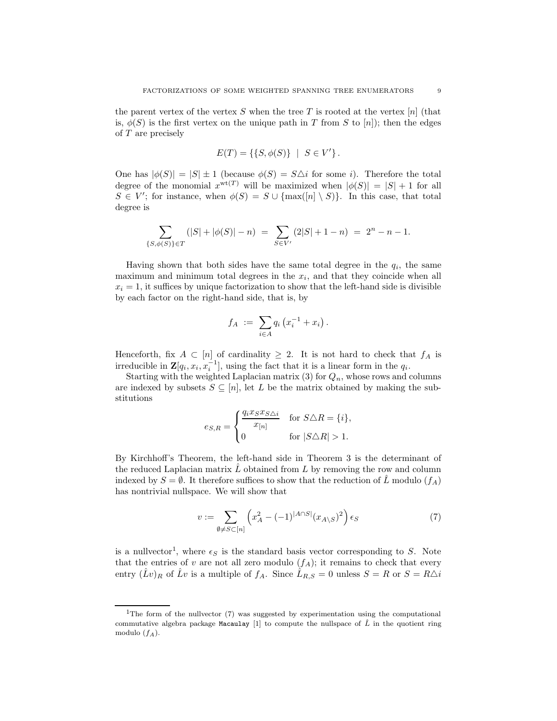the parent vertex of the vertex S when the tree T is rooted at the vertex  $[n]$  (that is,  $\phi(S)$  is the first vertex on the unique path in T from S to [n]); then the edges of T are precisely

$$
E(T) = \{ \{ S, \phi(S) \} \mid S \in V' \}.
$$

One has  $|\phi(S)| = |S| \pm 1$  (because  $\phi(S) = S\Delta i$  for some *i*). Therefore the total degree of the monomial  $x^{wt(T)}$  will be maximized when  $|\phi(S)| = |S| + 1$  for all  $S \in V'$ ; for instance, when  $\phi(S) = S \cup \{\max([n] \setminus S)\}\)$ . In this case, that total degree is

$$
\sum_{\{S,\phi(S)\}\in T} (|S|+|\phi(S)|-n) \ = \ \sum_{S\in V'} (2|S|+1-n) \ = \ 2^n-n-1.
$$

Having shown that both sides have the same total degree in the  $q_i$ , the same maximum and minimum total degrees in the  $x_i$ , and that they coincide when all  $x_i = 1$ , it suffices by unique factorization to show that the left-hand side is divisible by each factor on the right-hand side, that is, by

$$
f_A := \sum_{i \in A} q_i (x_i^{-1} + x_i).
$$

Henceforth, fix  $A \subset [n]$  of cardinality  $\geq 2$ . It is not hard to check that  $f_A$  is irreducible in  $\mathbf{Z}[q_i, x_i, x_i^{-1}]$ , using the fact that it is a linear form in the  $q_i$ .

Starting with the weighted Laplacian matrix (3) for  $Q_n$ , whose rows and columns are indexed by subsets  $S \subseteq [n]$ , let L be the matrix obtained by making the substitutions

$$
e_{S,R} = \begin{cases} \frac{q_i x_S x_{S \triangle i}}{x_{[n]}} & \text{for } S \triangle R = \{i\}, \\ 0 & \text{for } |S \triangle R| > 1. \end{cases}
$$

By Kirchhoff's Theorem, the left-hand side in Theorem 3 is the determinant of the reduced Laplacian matrix  $\tilde{L}$  obtained from  $L$  by removing the row and column indexed by  $S = \emptyset$ . It therefore suffices to show that the reduction of  $\tilde{L}$  modulo  $(f_A)$ has nontrivial nullspace. We will show that

$$
v := \sum_{\emptyset \neq S \subset [n]} \left( x_A^2 - (-1)^{|A \cap S|} (x_{A \setminus S})^2 \right) \epsilon_S \tag{7}
$$

is a nullvector<sup>1</sup>, where  $\epsilon_S$  is the standard basis vector corresponding to S. Note that the entries of v are not all zero modulo  $(f_A)$ ; it remains to check that every entry  $(\hat{L}v)_R$  of  $\hat{L}v$  is a multiple of  $f_A$ . Since  $\hat{L}_{R,S} = 0$  unless  $S = R$  or  $S = R\Delta i$ 

<sup>&</sup>lt;sup>1</sup>The form of the nullvector  $(7)$  was suggested by experimentation using the computational commutative algebra package Macaulay [1] to compute the nullspace of  $\hat{L}$  in the quotient ring modulo  $(f_A)$ .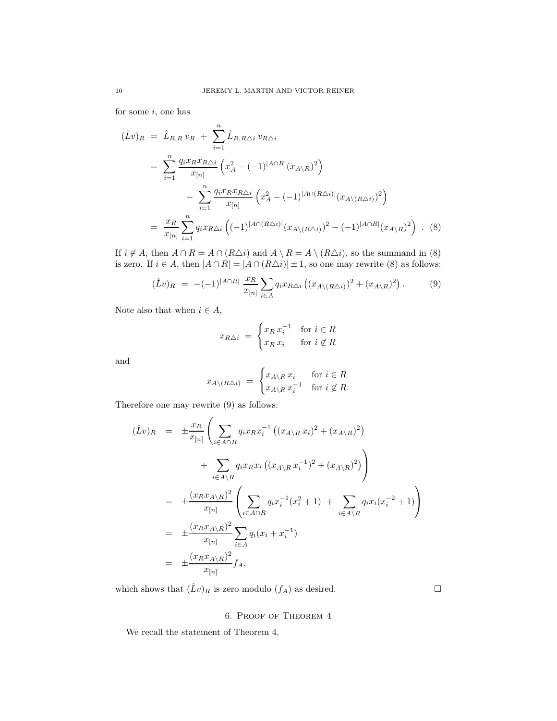for some  $i$ , one has

$$
(\hat{L}v)_{R} = \hat{L}_{R,R} v_{R} + \sum_{i=1}^{n} \hat{L}_{R,R\triangle i} v_{R\triangle i}
$$
  
\n
$$
= \sum_{i=1}^{n} \frac{q_{i} x_{R} x_{R\triangle i}}{x_{[n]}} \left( x_{A}^{2} - (-1)^{|A \cap R|} (x_{A \setminus R})^{2} \right)
$$
  
\n
$$
- \sum_{i=1}^{n} \frac{q_{i} x_{R} x_{R\triangle i}}{x_{[n]}} \left( x_{A}^{2} - (-1)^{|A \cap (R\triangle i)|} (x_{A \setminus (R\triangle i)})^{2} \right)
$$
  
\n
$$
= \frac{x_{R}}{x_{[n]}} \sum_{i=1}^{n} q_{i} x_{R\triangle i} \left( (-1)^{|A \cap (R\triangle i)|} (x_{A \setminus (R\triangle i)})^{2} - (-1)^{|A \cap R|} (x_{A \setminus R})^{2} \right) . (8)
$$

If  $i \notin A$ , then  $A \cap R = A \cap (R \triangle i)$  and  $A \setminus R = A \setminus (R \triangle i)$ , so the summand in (8) is zero. If  $i \in A$ , then  $|A \cap R| = |A \cap (R \triangle i)| \pm 1$ , so one may rewrite (8) as follows:

$$
(\hat{L}v)_R = -(-1)^{|A \cap R|} \frac{x_R}{x_{[n]}} \sum_{i \in A} q_i x_{R\Delta i} ((x_{A \setminus (R\Delta i)})^2 + (x_{A \setminus R})^2). \tag{9}
$$

Note also that when  $i \in A$ ,

$$
x_{R\triangle i} = \begin{cases} x_R \, x_i^{-1} & \text{for } i \in R \\ x_R \, x_i & \text{for } i \notin R \end{cases}
$$

and

$$
x_{A \setminus (R \triangle i)} = \begin{cases} x_{A \setminus R} x_i & \text{for } i \in R \\ x_{A \setminus R} x_i^{-1} & \text{for } i \notin R. \end{cases}
$$

Therefore one may rewrite (9) as follows:

$$
(\hat{L}v)_{R} = \pm \frac{x_{R}}{x_{[n]}} \left( \sum_{i \in A \cap R} q_{i} x_{R} x_{i}^{-1} \left( (x_{A \setminus R} x_{i})^{2} + (x_{A \setminus R})^{2} \right) + \sum_{i \in A \setminus R} q_{i} x_{R} x_{i} \left( (x_{A \setminus R} x_{i}^{-1})^{2} + (x_{A \setminus R})^{2} \right) \right)
$$
  

$$
= \pm \frac{(x_{R} x_{A \setminus R})^{2}}{x_{[n]}} \left( \sum_{i \in A \cap R} q_{i} x_{i}^{-1} (x_{i}^{2} + 1) + \sum_{i \in A \setminus R} q_{i} x_{i} (x_{i}^{-2} + 1) \right)
$$
  

$$
= \pm \frac{(x_{R} x_{A \setminus R})^{2}}{x_{[n]}} \sum_{i \in A} q_{i} (x_{i} + x_{i}^{-1})
$$
  

$$
= \pm \frac{(x_{R} x_{A \setminus R})^{2}}{x_{[n]}} f_{A},
$$

which shows that  $(\hat{L}v)_R$  is zero modulo  $(f_A)$  as desired.

## 6. Proof of Theorem 4

We recall the statement of Theorem 4.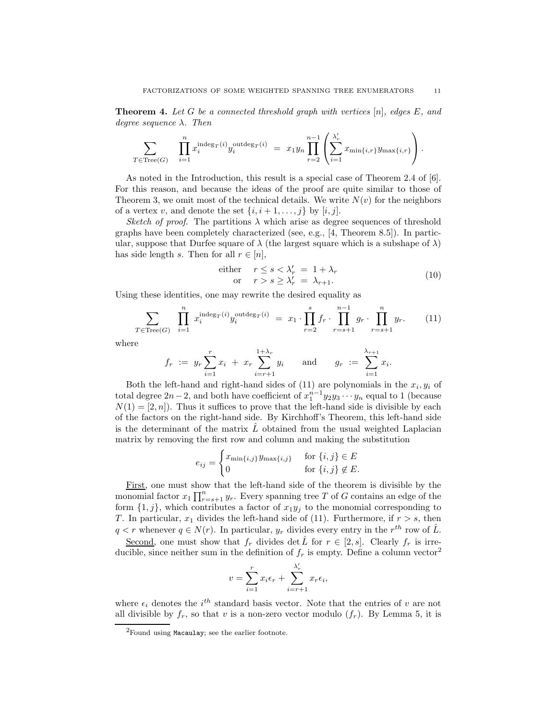**Theorem 4.** Let G be a connected threshold graph with vertices  $[n]$ , edges E, and degree sequence  $\lambda$ . Then

$$
\sum_{T \in \text{Tree}(G)} \prod_{i=1}^n x_i^{\text{indeg}_T(i)} y_i^{\text{outdeg}_T(i)} = x_1 y_n \prod_{r=2}^{n-1} \left( \sum_{i=1}^{\lambda'_r} x_{\min\{i,r\}} y_{\max\{i,r\}} \right).
$$

As noted in the Introduction, this result is a special case of Theorem 2.4 of [6]. For this reason, and because the ideas of the proof are quite similar to those of Theorem 3, we omit most of the technical details. We write  $N(v)$  for the neighbors of a vertex v, and denote the set  $\{i, i+1, \ldots, j\}$  by  $[i, j]$ .

Sketch of proof. The partitions  $\lambda$  which arise as degree sequences of threshold graphs have been completely characterized (see, e.g., [4, Theorem 8.5]). In particular, suppose that Durfee square of  $\lambda$  (the largest square which is a subshape of  $\lambda$ ) has side length s. Then for all  $r \in [n]$ ,

either 
$$
r \le s < \lambda'_r = 1 + \lambda_r
$$
  
or  $r > s \ge \lambda'_r = \lambda_{r+1}$ . (10)

Using these identities, one may rewrite the desired equality as

$$
\sum_{T \in \text{Tree}(G)} \prod_{i=1}^{n} x_i^{\text{indeg}_T(i)} y_i^{\text{outdeg}_T(i)} = x_1 \cdot \prod_{r=2}^{s} f_r \cdot \prod_{r=s+1}^{n-1} g_r \cdot \prod_{r=s+1}^{n} y_r. \tag{11}
$$

where

$$
f_r := y_r \sum_{i=1}^r x_i + x_r \sum_{i=r+1}^{1+\lambda_r} y_i
$$
 and  $g_r := \sum_{i=1}^{\lambda_{r+1}} x_i$ .

Both the left-hand and right-hand sides of  $(11)$  are polynomials in the  $x_i, y_i$  of total degree  $2n-2$ , and both have coefficient of  $x_1^{n-1}y_2y_3\cdots y_n$  equal to 1 (because  $N(1) = [2, n]$ . Thus it suffices to prove that the left-hand side is divisible by each of the factors on the right-hand side. By Kirchhoff's Theorem, this left-hand side is the determinant of the matrix  $\hat{L}$  obtained from the usual weighted Laplacian matrix by removing the first row and column and making the substitution

$$
e_{ij} = \begin{cases} x_{\min\{i,j\}} y_{\max\{i,j\}} & \text{for } \{i,j\} \in E \\ 0 & \text{for } \{i,j\} \notin E. \end{cases}
$$

First, one must show that the left-hand side of the theorem is divisible by the monomial factor  $x_1 \prod_{r=s+1}^n y_r$ . Every spanning tree T of G contains an edge of the form  $\{1, j\}$ , which contributes a factor of  $x_1y_j$  to the monomial corresponding to T. In particular,  $x_1$  divides the left-hand side of (11). Furthermore, if  $r > s$ , then  $q < r$  whenever  $q \in N(r)$ . In particular,  $y_r$  divides every entry in the  $r^{th}$  row of  $\hat{L}$ .

Second, one must show that  $f_r$  divides det  $\hat{L}$  for  $r \in [2, s]$ . Clearly  $f_r$  is irreducible, since neither sum in the definition of  $f_r$  is empty. Define a column vector<sup>2</sup>

$$
v = \sum_{i=1}^{r} x_i \epsilon_r + \sum_{i=r+1}^{\lambda'_r} x_r \epsilon_i,
$$

where  $\epsilon_i$  denotes the  $i^{th}$  standard basis vector. Note that the entries of v are not all divisible by  $f_r$ , so that v is a non-zero vector modulo  $(f_r)$ . By Lemma 5, it is

<sup>2</sup>Found using Macaulay; see the earlier footnote.